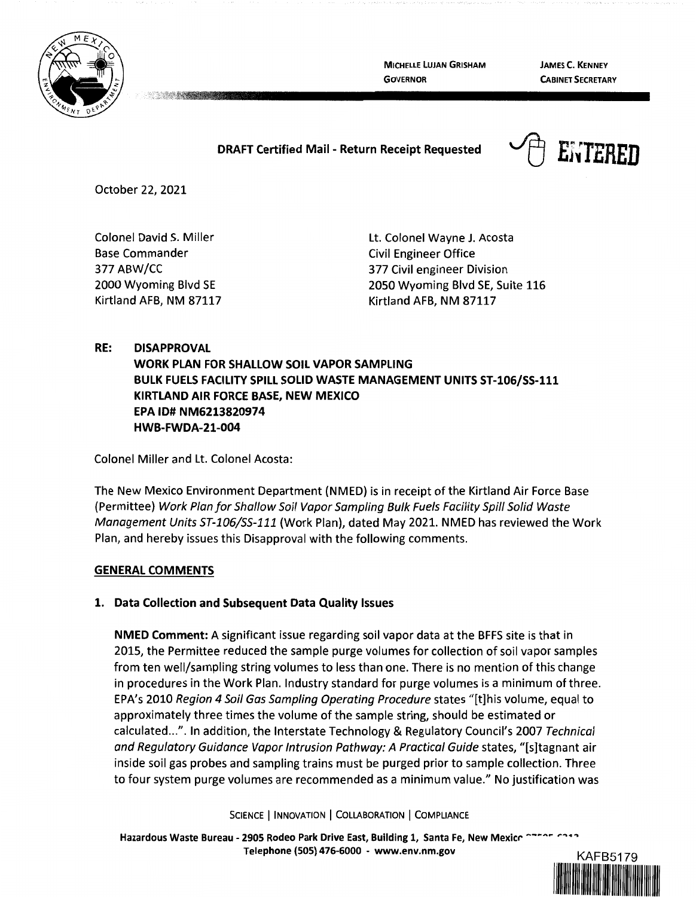

**MICHELLE LUJAN GRISHAM GOVERNOR** 

**JAMES C. KENNEY CABINET SECRETARY** 

## **DRAFT Certified Mail** - **Return Receipt Requested**



October 22, 2021

Colonel David S. Miller Base Commander 377 ABW/CC 2000 Wyoming Blvd SE Kirtland AFB, NM 87117

Lt. Colonel Wayne J. Acosta Civil Engineer Office 377 Civil engineer Division 2050 Wyoming Blvd SE, Suite 116 Kirtland AFB, NM 87117

# **RE: DISAPPROVAL WORK PLAN FOR SHALLOW SOIL VAPOR SAMPLING BULK FUELS FACILITY SPILL SOLID WASTE MANAGEMENT UNITS ST-106/SS-111 KIRTLAND AIR FORCE BASE, NEW MEXICO EPA ID# NM6213820974 HWB-FWDA-21-004**

Colonel Miller and Lt. Colonel Acosta:

The New Mexico Environment Department (NMED) is in receipt of the Kirtland Air Force Base (Permittee) Work Plan for Shallow Soil Vapor Sampling Bulk Fuels Facility Spill Solid Waste Management Units ST-106/SS-111 (Work Plan), dated May 2021. NMED has reviewed the Work Plan, and hereby issues this Disapproval with the following comments.

## **GENERAL COMMENTS**

## **1. Data Collection and Subsequent Data Quality Issues**

**NMED Comment:** A significant issue regarding soil vapor data at the BFFS site is that in 2015, the Permittee reduced the sample purge volumes for collection of soil vapor samples from ten well/sampling string volumes to less than one. There is no mention of this change in procedures in the Work Plan. Industry standard for purge volumes is a minimum of three. EPA's 2010 Region 4 Soil Gas Sampling Operating Procedure states "[t]his volume, equal to approximately three times the volume of the sample string, should be estimated or calculated ...". In addition, the Interstate Technology & Regulatory Council's 2007 Technical and Regulatory Guidance Vapor Intrusion Pathway: A Practical Guide states, "[s]tagnant air inside soil gas probes and sampling trains must be purged prior to sample collection. Three to four system purge volumes are recommended as a minimum value." No justification was

SCIENCE | INNOVATION | COLLABORATION | COMPLIANCE

Hazardous Waste Bureau - 2905 Rodeo Park Drive East, Building 1, Santa Fe, New Mexice <sup>enther</sup> **Telephone (505) 476-6000** - **www.env.nm.gov** KAFB5179

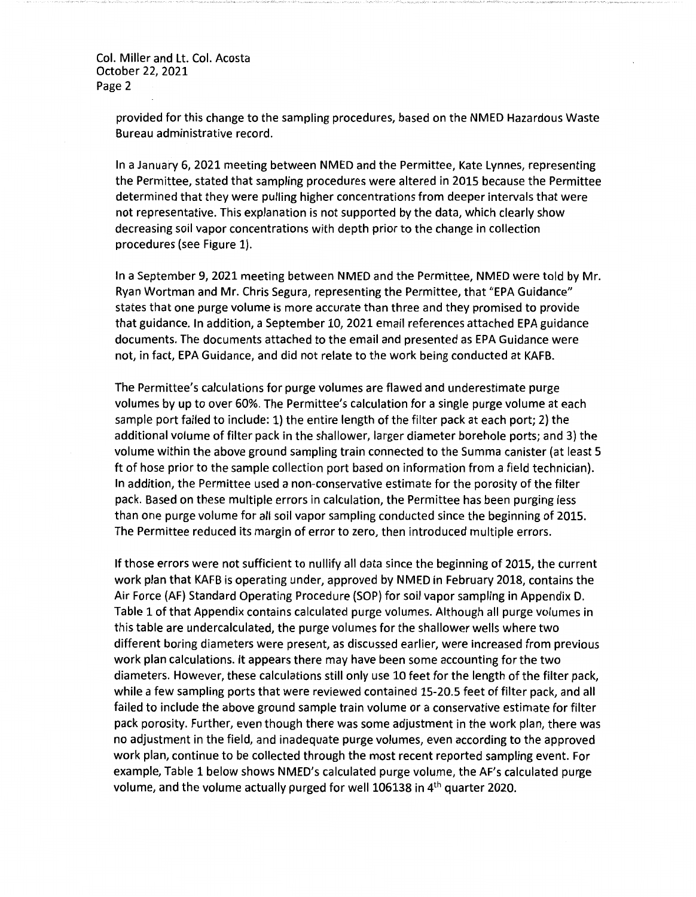> provided for this change to the sampling procedures, based on the NMED Hazardous Waste Bureau administrative record.

> In a January 6, 2021 meeting between NMED and the Permittee, Kate Lynnes, representing the Permittee, stated that sampling procedures were altered in 2015 because the Permittee determined that they were pulling higher concentrations from deeper intervals that were not representative. This explanation is not supported by the data, which clearly show decreasing soil vapor concentrations with depth prior to the change in collection procedures (see Figure 1).

> In a September 9, 2021 meeting between NMED and the Permittee, NMED were told by Mr. Ryan Wortman and Mr. Chris Segura, representing the Permittee, that "EPA Guidance" states that one purge volume is more accurate than three and they promised to provide that guidance. In addition, a September 10, 2021 email references attached EPA guidance documents. The documents attached to the email and presented as EPA Guidance were not, in fact, EPA Guidance, and did not relate to the work being conducted at KAFB.

> The Permittee's calculations for purge volumes are flawed and underestimate purge volumes by up to over 60%. The Permittee's calculation for a single purge volume at each sample port failed to include: 1) the entire length of the filter pack at each port; 2) the additional volume of filter pack in the shallower, larger diameter borehole ports; and 3) the volume within the above ground sampling train connected to the Summa canister (at least 5 ft of hose prior to the sample collection port based on information from a field technician). In addition, the Permittee used a non-conservative estimate for the porosity of the filter pack. Based on these multiple errors in calculation, the Permittee has been purging less than one purge volume for all soil vapor sampling conducted since the beginning of 2015. The Permittee reduced its margin of error to zero, then introduced multiple errors.

> If those errors were not sufficient to nullify all data since the beginning of 2015, the current work plan that KAFB is operating under, approved by NMED in February 2018, contains the Air Force (AF) Standard Operating Procedure (SOP) for soil vapor sampling in Appendix D. Table 1 of that Appendix contains calculated purge volumes. Although all purge volumes in this table are undercalculated, the purge volumes for the shallower wells where two different boring diameters were present, as discussed earlier, were increased from previous work plan calculations. It appears there may have been some accounting for the two diameters. However, these calculations still only use 10 feet for the length of the filter pack, while a few sampling ports that were reviewed contained 15-20.5 feet of filter pack, and all failed to include the above ground sample train volume or a conservative estimate for filter pack porosity. Further, even though there was some adjustment in the work plan, there was no adjustment in the field, and inadequate purge volumes, even according to the approved work plan, continue to be collected through the most recent reported sampling event. For example, Table 1 below shows NMED's calculated purge volume, the AF's calculated purge volume, and the volume actually purged for well 106138 in 4th quarter 2020.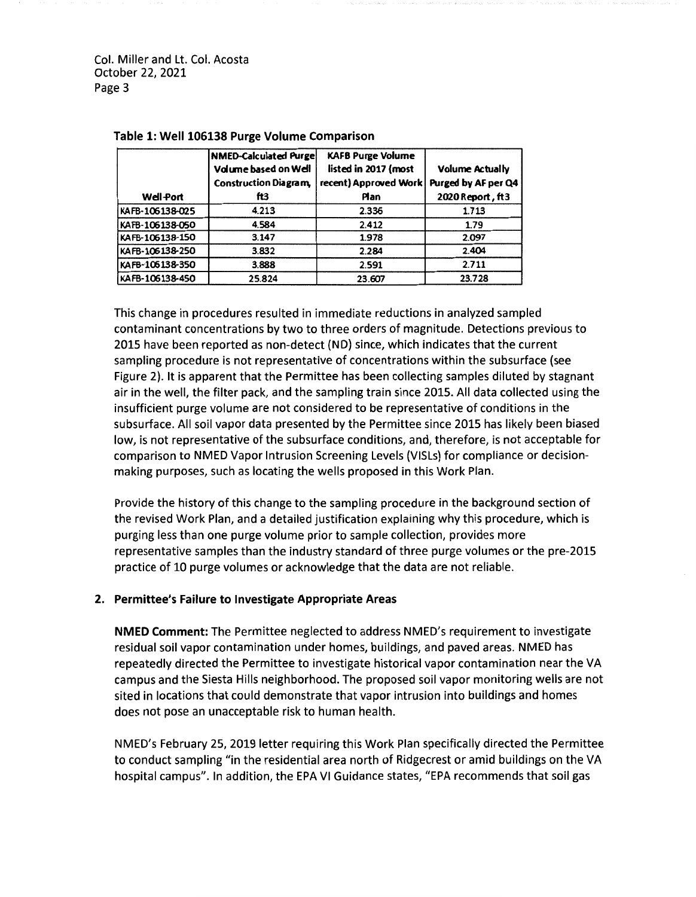|                  | NMED-Calculated Purge<br>Volume based on Well<br><b>Construction Diagram.</b> | <b>KAFB Purge Volume</b><br>listed in 2017 (most<br>recent) Approved Work | <b>Volume Actually</b><br>Purged by AF per Q4 |
|------------------|-------------------------------------------------------------------------------|---------------------------------------------------------------------------|-----------------------------------------------|
| <b>Well-Port</b> | ftЗ                                                                           | Plan                                                                      | 2020 Report, ft3                              |
| KAFB-106138-025  | 4.213                                                                         | 2.336                                                                     | 1.713                                         |
| KAFB-106138-050  | 4.584                                                                         | 2.412                                                                     | 1.79                                          |
| KAFB-106138-150  | 3.147                                                                         | 1.978                                                                     | 2.097                                         |
| KAFB-106138-250  | 3.832                                                                         | 2.284                                                                     | 2.404                                         |
| KAFB-106138-350  | 3.888                                                                         | 2.591                                                                     | 2.711                                         |
| KAFB-106138-450  | 25.824                                                                        | 23.607                                                                    | 23.728                                        |

#### **Table 1: Well 106138 Purge Volume Comparison**

This change in procedures resulted in immediate reductions in analyzed sampled contaminant concentrations by two to three orders of magnitude. Detections previous to 2015 have been reported as non-detect (ND) since, which indicates that the current sampling procedure is not representative of concentrations within the subsurface (see Figure 2). It is apparent that the Permittee has been collecting samples diluted by stagnant air in the well, the filter pack, and the sampling train since 2015. All data collected using the insufficient purge volume are not considered to be representative of conditions in the subsurface. All soil vapor data presented by the Permittee since 2015 has likely been biased low, is not representative of the subsurface conditions, and, therefore, is not acceptable for comparison to NMED Vapor Intrusion Screening Levels (VISLs) for compliance or decisionmaking purposes, such as locating the wells proposed in this Work Plan.

Provide the history of this change to the sampling procedure in the background section of the revised Work Plan, and a detailed justification explaining why this procedure, which is purging less than one purge volume prior to sample collection, provides more representative samples than the industry standard of three purge volumes or the pre-2015 practice of 10 purge volumes or acknowledge that the data are not reliable.

### **2. Permittee's Failure to Investigate Appropriate Areas**

**NMED Comment:** The Permittee neglected to address NMED's requirement to investigate residual soil vapor contamination under homes, buildings, and paved areas. NMED has repeatedly directed the Permittee to investigate historical vapor contamination near the VA campus and the Siesta Hills neighborhood. The proposed soil vapor monitoring wells are not sited in locations that could demonstrate that vapor intrusion into buildings and homes does not pose an unacceptable risk to human health.

NMED's February 25, 2019 letter requiring this Work Plan specifically directed the Permittee to conduct sampling "in the residential area north of Ridgecrest or amid buildings on the VA hospital campus". In addition, the EPA VI Guidance states, "EPA recommends that soil gas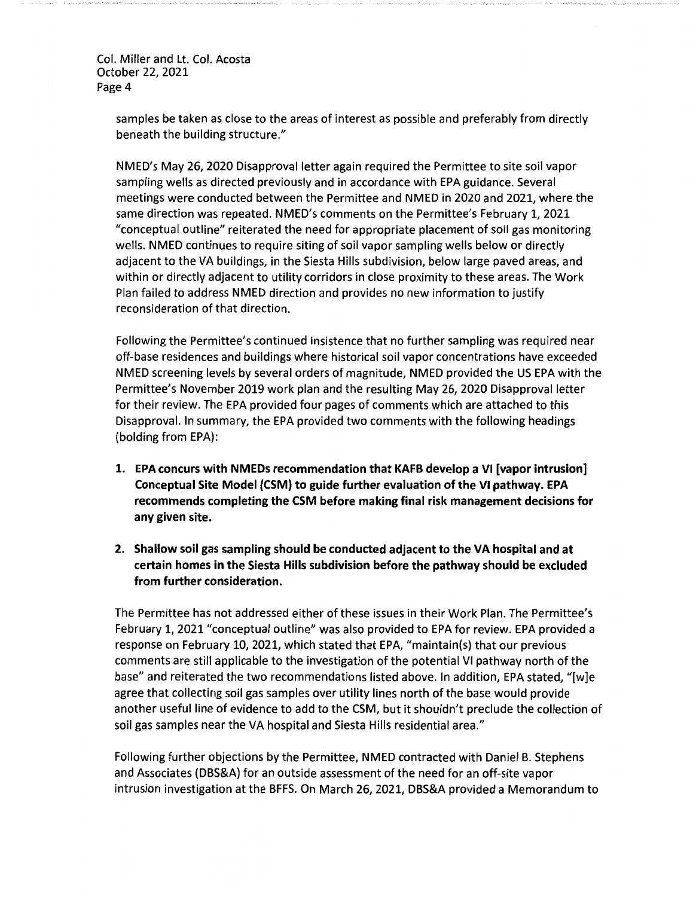> samples be taken as close to the areas of interest as possible and preferably from directly beneath the building structure."

> NMED's May 26, 2020 Disapproval letter again required the Permittee to site soil vapor sampling wells as directed previously and in accordance with EPA guidance. Several meetings were conducted between the Permittee and NMED in 2020 and 2021, where the same direction was repeated. NMED's comments on the Permittee's February 1, 2021 "conceptual outline" reiterated the need for appropriate placement of soil gas monitoring wells. NMED continues to require siting of soil vapor sampling wells below or directly adjacent to the VA buildings, in the Siesta Hills subdivision, below large paved areas, and within or directly adjacent to utility corridors in close proximity to these areas. The Work Plan failed to address NMED direction and provides no new information to justify reconsideration of that direction.

Following the Permittee's continued insistence that no further sampling was required near off-base residences and buildings where historical soil vapor concentrations have exceeded NMED screening levels by several orders of magnitude, NMED provided the US EPA with the Permittee's November 2019 work plan and the resulting May 26, 2020 Disapproval letter for their review. The EPA provided four pages of comments which are attached to this Disapproval. In summary, the EPA provided two comments with the following headings (bolding from EPA):

- **1. EPA concurs with NMEDs recommendation that KAFB develop a VI [vapor intrusion] Conceptual Site Model (CSM) to guide further evaluation of the VI pathway. EPA recommends completing the CSM before making final risk management decisions for any given site.**
- **2. Shallow soil gas sampling should be conducted adjacent to the VA hospital and at certain homes in the Siesta Hills subdivision before the pathway should be excluded from further consideration.**

The Permittee has not addressed either of these issues in their Work Plan. The Permittee's February 1, 2021 "conceptual outline" was also provided to EPA for review. EPA provided a response on February 10, 2021, which stated that EPA, "maintain(s) that our previous comments are still applicable to the investigation of the potential VI pathway north of the base" and reiterated the two recommendations listed above. In addition, EPA stated, "[w]e agree that collecting soil gas samples over utility lines north of the base would provide another useful line of evidence to add to the CSM, but it shouldn't preclude the collection of soil gas samples near the VA hospital and Siesta Hills residential area."

Following further objections by the Permittee, NMED contracted with Daniel B. Stephens and Associates (DBS&A) for an outside assessment of the need for an off-site vapor intrusion investigation at the BFFS. On March 26, 2021, DBS&A provided a Memorandum to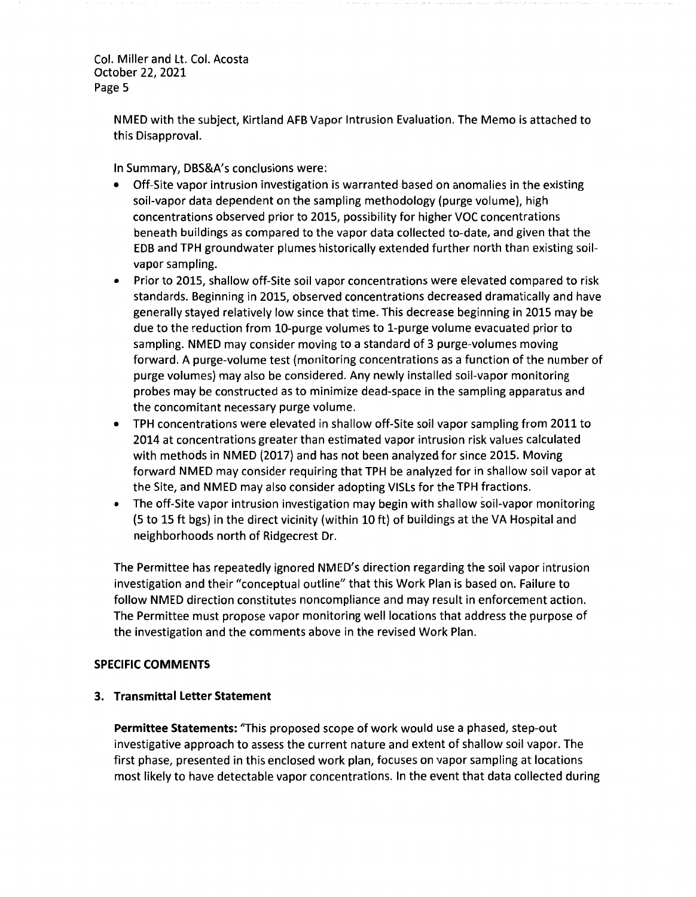> NMED with the subject, Kirtland AFB Vapor Intrusion Evaluation. The Memo is attached to this Disapproval.

In Summary, DBS&A's conclusions were:

- Off-Site vapor intrusion investigation is warranted based on anomalies in the existing soil-vapor data dependent on the sampling methodology (purge volume), high concentrations observed prior to 2015, possibility for higher VOC concentrations beneath buildings as compared to the vapor data collected to-date, and given that the EDB and TPH groundwater plumes historically extended further north than existing soilvapor sampling.
- Prior to 2015, shallow off-Site soil vapor concentrations were elevated compared to risk standards. Beginning in 2015, observed concentrations decreased dramatically and have generally stayed relatively low since that time. This decrease beginning in 2015 may be due to the reduction from 10-purge volumes to 1-purge volume evacuated prior to sampling. NMED may consider moving to a standard of 3 purge-volumes moving forward. A purge-volume test (monitoring concentrations as a function of the number of purge volumes) may also be considered. Any newly installed soil-vapor monitoring probes may be constructed as to minimize dead-space in the sampling apparatus and the concomitant necessary purge volume.
- TPH concentrations were elevated in shallow off-Site soil vapor sampling from 2011 to 2014 at concentrations greater than estimated vapor intrusion risk values calculated with methods in NMED (2017) and has not been analyzed for since 2015. Moving forward NMED may consider requiring that TPH be analyzed for in shallow soil vapor at the Site, and NMED may also consider adopting VISLs for the TPH fractions.
- The off-Site vapor intrusion investigation may begin with shallow soil-vapor monitoring (5 to 15 ft bgs) in the direct vicinity (within 10 ft) of buildings at the VA Hospital and neighborhoods north of Ridgecrest Dr.

The Permittee has repeatedly ignored NMED's direction regarding the soil vapor intrusion investigation and their "conceptual outline" that this Work Plan is based on. Failure to follow NMED direction constitutes noncompliance and may result in enforcement action. The Permittee must propose vapor monitoring well locations that address the purpose of the investigation and the comments above in the revised Work Plan.

## **SPECIFIC COMMENTS**

### **3. Transmittal Letter Statement**

**Permittee Statements:** "This proposed scope of work would use a phased, step-out investigative approach to assess the current nature and extent of shallow soil vapor. The first phase, presented in this enclosed work plan, focuses on vapor sampling at locations most likely to have detectable vapor concentrations. In the event that data collected during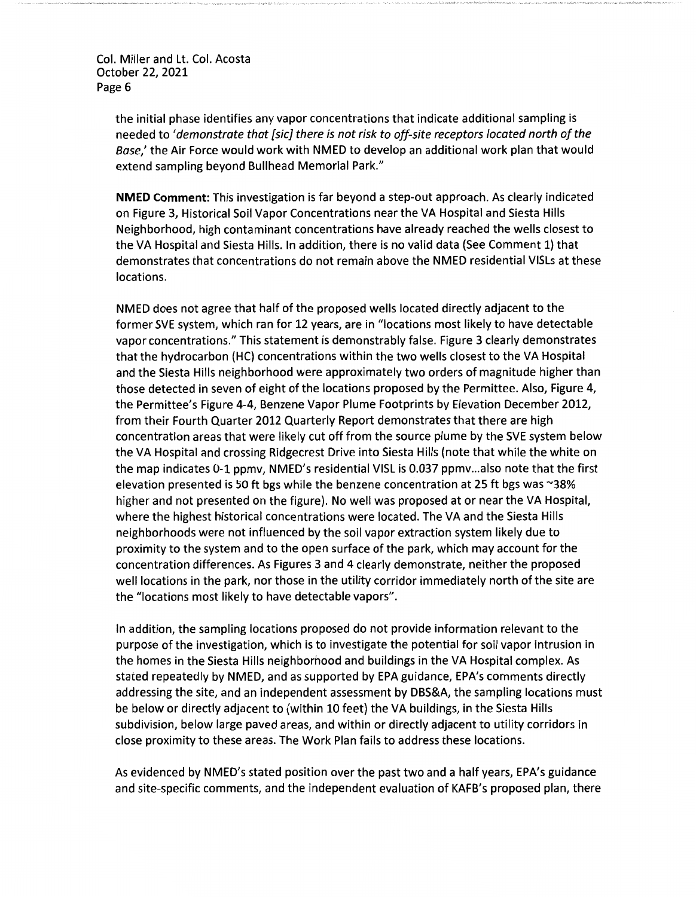> the initial phase identifies any vapor concentrations that indicate additional sampling is needed to *'demonstrate that [sic] there is not risk to off-site receptors located north of the Base,'* the Air Force would work with NMED to develop an additional work plan that would extend sampling beyond Bullhead Memorial Park."

**NMED Comment:** This investigation is far beyond a step-out approach. As clearly indicated on Figure 3, Historical Soil Vapor Concentrations near the VA Hospital and Siesta Hills Neighborhood, high contaminant concentrations have already reached the wells closest to the VA Hospital and Siesta Hills. In addition, there is no valid data (See Comment 1) that demonstrates that concentrations do not remain above the NMED residential VISLs at these locations.

NMED does not agree that half of the proposed wells located directly adjacent to the former SVE system, which ran for 12 years, are in "locations most likely to have detectable vapor concentrations." This statement is demonstrably false. Figure 3 clearly demonstrates that the hydrocarbon (HC) concentrations within the two wells closest to the VA Hospital and the Siesta Hills neighborhood were approximately two orders of magnitude higher than those detected in seven of eight of the locations proposed by the Permittee. Also, Figure 4, the Permittee's Figure 4-4, Benzene Vapor Plume Footprints by Elevation December 2012, from their Fourth Quarter 2012 Quarterly Report demonstrates that there are high concentration areas that were likely cut off from the source plume by the SVE system below the VA Hospital and crossing Ridgecrest Drive into Siesta Hills (note that while the white on the map indicates 0-1 ppmv, NMED's residential VISL is 0.037 ppmv ... also note that the first elevation presented is 50 ft bgs while the benzene concentration at 25 ft bgs was ~38% higher and not presented on the figure). No well was proposed at or near the VA Hospital, where the highest historical concentrations were located. The VA and the Siesta Hills neighborhoods were not influenced by the soil vapor extraction system likely due to proximity to the system and to the open surface of the park, which may account for the concentration differences. As Figures 3 and 4 clearly demonstrate, neither the proposed well locations in the park, nor those in the utility corridor immediately north of the site are the "locations most likely to have detectable vapors".

In addition, the sampling locations proposed do not provide information relevant to the purpose of the investigation, which is to investigate the potential for soil vapor intrusion in the homes in the Siesta Hills neighborhood and buildings in the VA Hospital complex. As stated repeatedly by NMED, and as supported by EPA guidance, EPA's comments directly addressing the site, and an independent assessment by DBS&A, the sampling locations must be below or directly adjacent to (within 10 feet) the VA buildings, in the Siesta Hills subdivision, below large paved areas, and within or directly adjacent to utility corridors in close proximity to these areas. The Work Plan fails to address these locations.

As evidenced by NMED's stated position over the past two and a half years, EPA's guidance and site-specific comments, and the independent evaluation of KAFB's proposed plan, there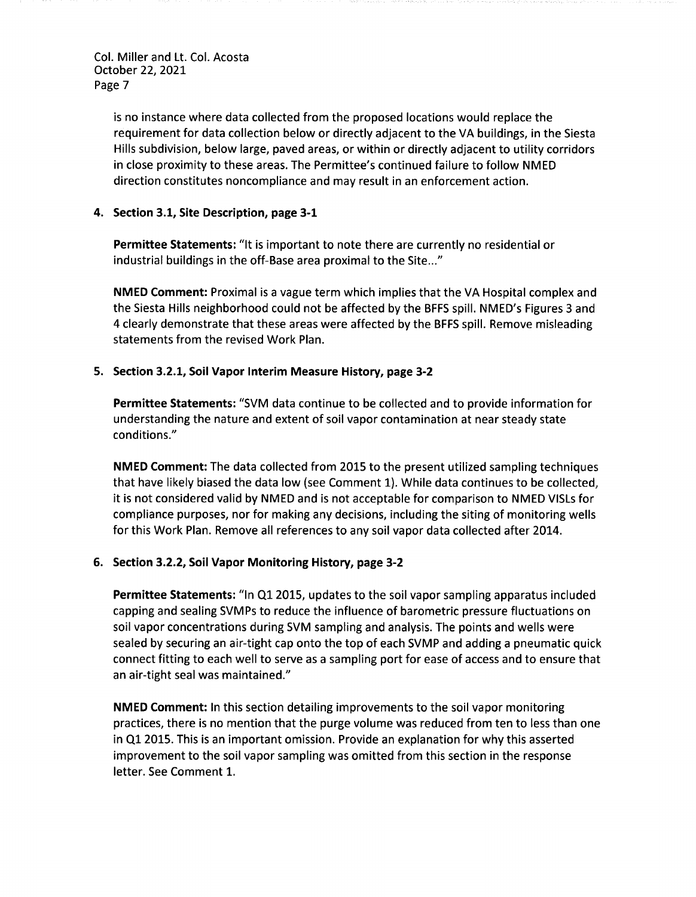> is no instance where data collected from the proposed locations would replace the requirement for data collection below or directly adjacent to the VA buildings, in the Siesta Hills subdivision, below large, paved areas, or within or directly adjacent to utility corridors in close proximity to these areas. The Permittee's continued failure to follow NMED direction constitutes noncompliance and may result in an enforcement action.

### **4. Section 3.1, Site Description, page 3-1**

**Permittee Statements:** "It is important to note there are currently no residential or industrial buildings in the off-Base area proximal to the Site..."

**NMED Comment:** Proximal is a vague term which implies that the VA Hospital complex and the Siesta Hills neighborhood could not be affected by the BFFS spill. NMED's Figures 3 and 4 clearly demonstrate that these areas were affected by the BFFS spill. Remove misleading statements from the revised Work Plan.

### **5. Section 3.2.1, Soil Vapor Interim Measure History, page 3-2**

**Permittee Statements:** "SVM data continue to be collected and to provide information for understanding the nature and extent of soil vapor contamination at near steady state conditions."

**NMED Comment:** The data collected from 2015 to the present utilized sampling techniques that have likely biased the data low (see Comment 1). While data continues to be collected, it is not considered valid by NMED and is not acceptable for comparison to NMED VISLs for compliance purposes, nor for making any decisions, including the siting of monitoring wells for this Work Plan. Remove all references to any soil vapor data collected after 2014.

### **6. Section 3.2.2, Soil Vapor Monitoring History, page 3-2**

**Permittee Statements:** "In Q1 2015, updates to the soil vapor sampling apparatus included capping and sealing SVMPs to reduce the influence of barometric pressure fluctuations on soil vapor concentrations during SVM sampling and analysis. The points and wells were sealed by securing an air-tight cap onto the top of each SVMP and adding a pneumatic quick connect fitting to each well to serve as a sampling port for ease of access and to ensure that an air-tight seal was maintained."

**NMED Comment:** In this section detailing improvements to the soil vapor monitoring practices, there is no mention that the purge volume was reduced from ten to less than one in Ql 2015. This is an important omission. Provide an explanation for why this asserted improvement to the soil vapor sampling was omitted from this section in the response letter. See Comment 1.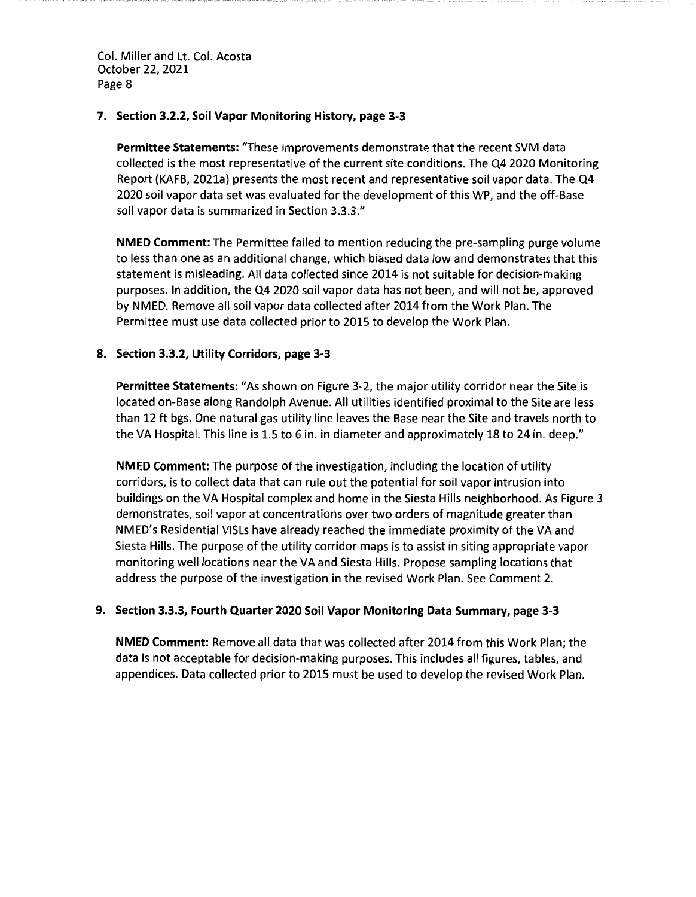### **7. Section 3.2.2, Soil Vapor Monitoring History, page 3-3**

**Permittee Statements:** "These improvements demonstrate that the recent SVM data collected is the most representative of the current site conditions. The Q4 2020 Monitoring Report (KAFB, 2021a) presents the most recent and representative soil vapor data. The Q4 2020 soil vapor data set was evaluated for the development of this WP, and the off-Base soil vapor data is summarized in Section 3.3.3."

**NMED Comment:** The Permittee failed to mention reducing the pre-sampling purge volume to less than one as an additional change, which biased data low and demonstrates that this statement is misleading. All data collected since 2014 is not suitable for decision-making purposes. In addition, the Q4 2020 soil vapor data has not been, and will not be, approved by NMED. Remove all soil vapor data collected after 2014 from the Work Plan. The Permittee must use data collected prior to 2015 to develop the Work Plan.

### **8. Section 3.3.2, Utility Corridors, page 3-3**

**Permittee Statements:** "As shown on Figure 3-2, the major utility corridor near the Site is located on-Base along Randolph Avenue. All utilities identified proximal to the Site are less than 12 ft bgs. One natural gas utility line leaves the Base near the Site and travels north to the VA Hospital. This line is 1.5 to 6 in. in diameter and approximately 18 to 24 in. deep."

**NMED Comment:** The purpose of the investigation, including the location of utility corridors, is to collect data that can rule out the potential for soil vapor intrusion into buildings on the VA Hospital complex and home in the Siesta Hills neighborhood. As Figure 3 demonstrates, soil vapor at concentrations over two orders of magnitude greater than NMED's Residential VISLs have already reached the immediate proximity of the VA and Siesta Hills. The purpose of the utility corridor maps is to assist in siting appropriate vapor monitoring well locations near the VA and Siesta Hills. Propose sampling locations that address the purpose of the investigation in the revised Work Plan. See Comment 2.

### **9. Section 3.3.3, Fourth Quarter 2020 Soil Vapor Monitoring Data Summary, page 3-3**

**NMED Comment:** Remove all data that was collected after 2014 from this Work Plan; the data is not acceptable for decision-making purposes. This includes all figures, tables, and appendices. Data collected prior to 2015 must be used to develop the revised Work Plan.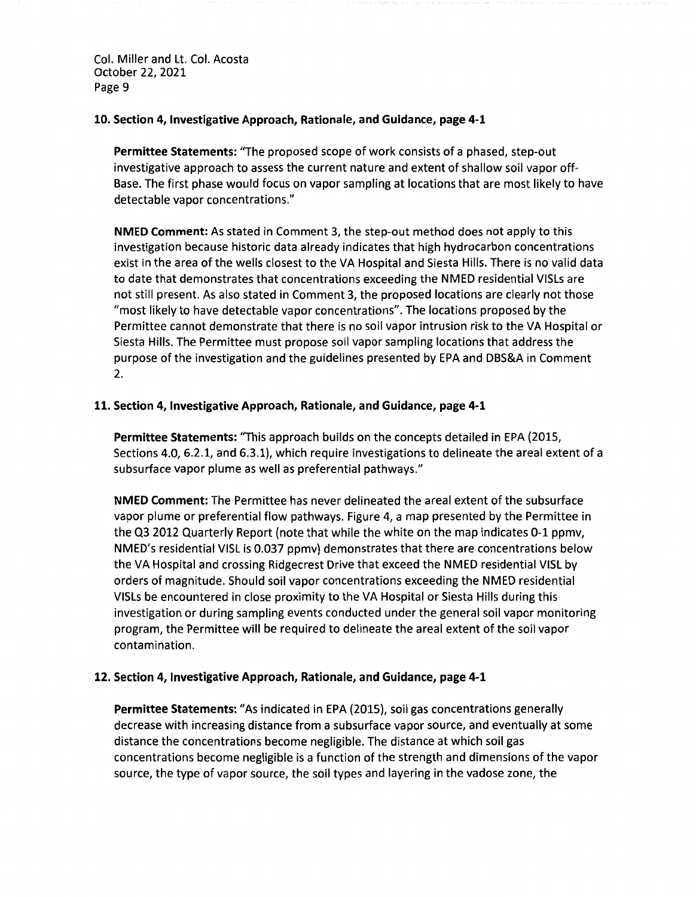**10. Section 4, Investigative Approach, Rationale, and Guidance, page 4-1** 

**Permittee Statements:** "The proposed scope of work consists of a phased, step-out investigative approach to assess the current nature and extent of shallow soil vapor off-Base. The first phase would focus on vapor sampling at locations that are most likely to have detectable vapor concentrations."

**NMED Comment:** As stated in Comment 3, the step-out method does not apply to this investigation because historic data already indicates that high hydrocarbon concentrations exist in the area of the wells closest to the VA Hospital and Siesta Hills. There is no valid data to date that demonstrates that concentrations exceeding the NMED residential VISLs are not still present. As also stated in Comment 3, the proposed locations are clearly not those "most likely to have detectable vapor concentrations". The locations proposed by the Permittee cannot demonstrate that there is no soil vapor intrusion risk to the VA Hospital or Siesta Hills. The Permittee must propose soil vapor sampling locations that address the purpose of the investigation and the guidelines presented by EPA and DBS&A in Comment 2.

### **11. Section 4, Investigative Approach, Rationale, and Guidance, page 4-1**

**Permittee Statements:** "This approach builds on the concepts detailed in EPA {2015, Sections 4.0, 6.2.1, and 6.3.1), which require investigations to delineate the areal extent of a subsurface vapor plume as well as preferential pathways."

**NMED Comment:** The Permittee has never delineated the areal extent of the subsurface vapor plume or preferential flow pathways. Figure 4, a map presented by the Permittee in the Q3 2012 Quarterly Report {note that while the white on the map indicates 0-1 ppmv, NMED's residential VISL is 0.037 ppmv) demonstrates that there are concentrations below the VA Hospital and crossing Ridgecrest Drive that exceed the NMED residential VISL by orders of magnitude. Should soil vapor concentrations exceeding the NMED residential VISLs be encountered in close proximity to the VA Hospital or Siesta Hills during this investigation or during sampling events conducted under the general soil vapor monitoring program, the Permittee will be required to delineate the areal extent of the soil vapor contamination.

### **12. Section 4, Investigative Approach, Rationale, and Guidance, page 4-1**

**Permittee Statements:** "As indicated in EPA (2015), soil gas concentrations generally decrease with increasing distance from a subsurface vapor source, and eventually at some distance the concentrations become negligible. The distance at which soil gas concentrations become negligible is a function of the strength and dimensions of the vapor source, the type of vapor source, the soil types and layering in the vadose zone, the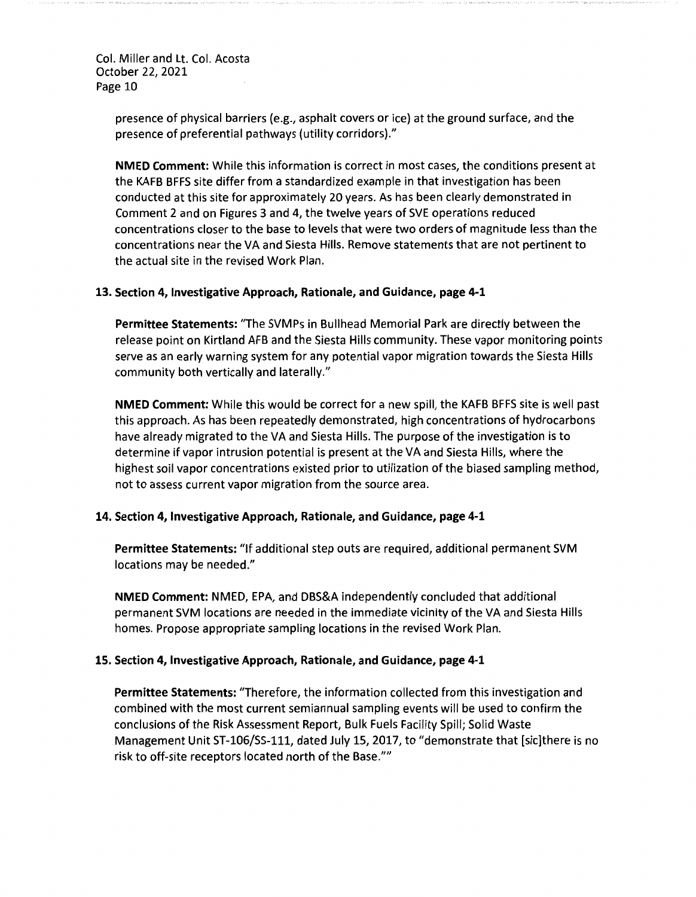> presence of physical barriers (e.g., asphalt covers or ice) at the ground surface, and the presence of preferential pathways (utility corridors)."

**NMED Comment:** While this information is correct in most cases, the conditions present at the KAFB BFFS site differ from a standardized example in that investigation has been conducted at this site for approximately 20 years. As has been clearly demonstrated in Comment 2 and on Figures 3 and 4, the twelve years of SVE operations reduced concentrations closer to the base to levels that were two orders of magnitude less than the concentrations near the VA and Siesta Hills. Remove statements that are not pertinent to the actual site in the revised Work Plan.

#### **13. Section 4, Investigative Approach, Rationale, and Guidance, page 4-1**

**Permittee Statements:** "The SVMPs in Bullhead Memorial Park are directly between the release point on Kirtland AFB and the Siesta Hills community. These vapor monitoring points serve as an early warning system for any potential vapor migration towards the Siesta Hills community both vertically and laterally."

**NMED Comment:** While this would be correct for a new spill, the KAFB BFFS site is well past this approach. As has been repeatedly demonstrated, high concentrations of hydrocarbons have already migrated to the VA and Siesta Hills. The purpose of the investigation is to determine if vapor intrusion potential is present at the VA and Siesta Hills, where the highest soil vapor concentrations existed prior to utilization of the biased sampling method, not to assess current vapor migration from the source area.

#### **14. Section 4, Investigative Approach, Rationale, and Guidance, page 4-1**

**Permittee Statements:** "If additional step outs are required, additional permanent SVM locations may be needed."

**NMED Comment:** NMED, EPA, and DBS&A independently concluded that additional permanent SVM locations are needed in the immediate vicinity of the VA and Siesta Hills homes. Propose appropriate sampling locations in the revised Work Plan.

### **15. Section 4, Investigative Approach, Rationale, and Guidance, page 4-1**

**Permittee Statements:** "Therefore, the information collected from this investigation and combined with the most current semiannual sampling events will be used to confirm the conclusions of the Risk Assessment Report, Bulk Fuels Facility Spill; Solid Waste Management Unit ST-106/SS-111, dated July 15, 2017, to "demonstrate that [sic]there is no risk to off-site receptors located north of the Base.""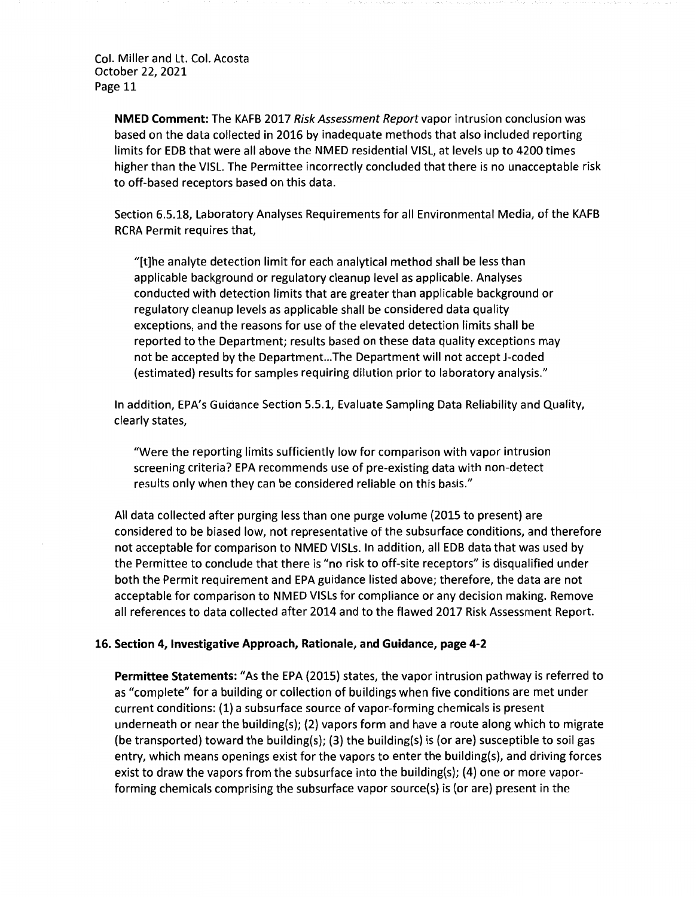> **NMED Comment:** The KAFB 2017 Risk Assessment Report vapor intrusion conclusion was based on the data collected in 2016 by inadequate methods that also included reporting limits for EDB that were all above the NMED residential VISL, at levels up to 4200 times higher than the VISL. The Permittee incorrectly concluded that there is no unacceptable risk to off-based receptors based on this data.

> Section 6.5.18, Laboratory Analyses Requirements for all Environmental Media, of the KAFB RCRA Permit requires that,

"[t]he analyte detection limit for each analytical method shall be less than applicable background or regulatory cleanup level as applicable. Analyses conducted with detection limits that are greater than applicable background or regulatory cleanup levels as applicable shall be considered data quality exceptions, and the reasons for use of the elevated detection limits shall be reported to the Department; results based on these data quality exceptions may not be accepted by the Department...The Department will not accept J-coded (estimated) results for samples requiring dilution prior to laboratory analysis."

In addition, EPA's Guidance Section 5.5.1, Evaluate Sampling Data Reliability and Quality, clearly states,

"Were the reporting limits sufficiently low for comparison with vapor intrusion screening criteria? EPA recommends use of pre-existing data with non-detect results only when they can be considered reliable on this basis."

All data collected after purging less than one purge volume (2015 to present) are considered to be biased low, not representative of the subsurface conditions, and therefore not acceptable for comparison to NMED VISLs. In addition, all EDB data that was used by the Permittee to conclude that there is "no risk to off-site receptors" is disqualified under both the Permit requirement and EPA guidance listed above; therefore, the data are not acceptable for comparison to NMED VISLs for compliance or any decision making. Remove all references to data collected after 2014 and to the flawed 2017 Risk Assessment Report.

#### **16. Section 4, Investigative Approach, Rationale, and Guidance, page 4-2**

**Permittee Statements:** "As the EPA (2015) states, the vapor intrusion pathway is referred to as "complete" for a building or collection of buildings when five conditions are met under current conditions: (1) a subsurface source of vapor-forming chemicals is present underneath or near the building(s); {2} vapors form and have a route along which to migrate (be transported) toward the building(s); (3) the building(s) is (or are) susceptible to soil gas entry, which means openings exist for the vapors to enter the building(s), and driving forces exist to draw the vapors from the subsurface into the building(s); (4) one or more vaporforming chemicals comprising the subsurface vapor source(s) is (or are) present in the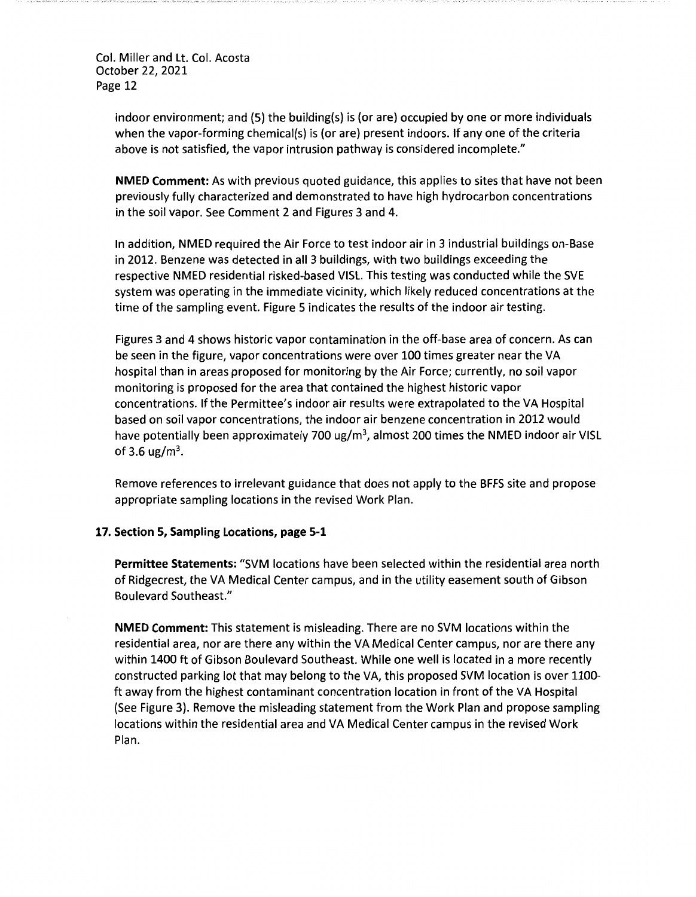> indoor environment; and (5) the building(s) is (or are) occupied by one or more individuals when the vapor-forming chemical(s) is (or are) present indoors. If any one of the criteria above is not satisfied, the vapor intrusion pathway is considered incomplete."

**NMED Comment:** As with previous quoted guidance, this applies to sites that have not been previously fully characterized and demonstrated to have high hydrocarbon concentrations in the soil vapor. See Comment 2 and Figures 3 and 4.

In addition, NMED required the Air Force to test indoor air in 3 industrial buildings on-Base in 2012. Benzene was detected in all 3 buildings, with two buildings exceeding the respective NMED residential risked-based VISL. This testing was conducted while the SVE system was operating in the immediate vicinity, which likely reduced concentrations at the time of the sampling event. Figure 5 indicates the results of the indoor air testing.

Figures 3 and 4 shows historic vapor contamination in the off-base area of concern. As can be seen in the figure, vapor concentrations were over 100 times greater near the VA hospital than in areas proposed for monitoring by the Air Force; currently, no soil vapor monitoring is proposed for the area that contained the highest historic vapor concentrations. If the Permittee's indoor air results were extrapolated to the VA Hospital based on soil vapor concentrations, the indoor air benzene concentration in 2012 would have potentially been approximately 700 ug/m<sup>3</sup>, almost 200 times the NMED indoor air VISL of 3.6 ug/m<sup>3</sup>.

Remove references to irrelevant guidance that does not apply to the BFFS site and propose appropriate sampling locations in the revised Work Plan.

### **17. Section 5, Sampling Locations, page 5-1**

**Permittee Statements:** "SVM locations have been selected within the residential area north of Ridgecrest, the VA Medical Center campus, and in the utility easement south of Gibson Boulevard Southeast."

**NMED Comment:** This statement is misleading. There are no SVM locations within the residential area, nor are there any within the VA Medical Center campus, nor are there any within 1400 ft of Gibson Boulevard Southeast. While one well is located in a more recently constructed parking lot that may belong to the VA, this proposed SVM location is over 1100 ft away from the highest contaminant concentration location in front of the VA Hospital (See Figure 3). Remove the misleading statement from the Work Plan and propose sampling locations within the residential area and VA Medical Center campus in the revised Work Plan.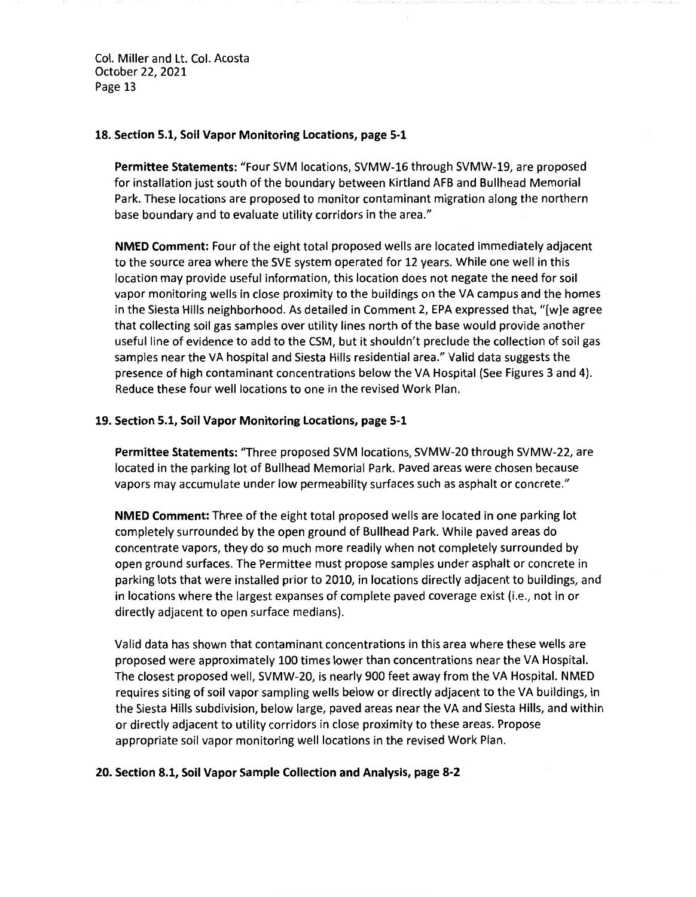### **18. Section 5.1, Soil Vapor Monitoring Locations, page 5-1**

**Permittee Statements:** "Four SVM locations, SVMW-16 through SVMW-19, are proposed for installation just south of the boundary between Kirtland AFB and Bullhead Memorial Park. These locations are proposed to monitor contaminant migration along the northern base boundary and to evaluate utility corridors in the area."

**NMED Comment:** Four of the eight total proposed wells are located immediately adjacent to the source area where the SVE system operated for 12 years. While one well in this location may provide useful information, this location does not negate the need for soil vapor monitoring wells in close proximity to the buildings on the VA campus and the homes in the Siesta Hills neighborhood. As detailed in Comment 2, EPA expressed that, "[w]e agree that collecting soil gas samples over utility lines north of the base would provide another useful line of evidence to add to the CSM, but it shouldn't preclude the collection of soil gas samples near the VA hospital and Siesta Hills residential area." Valid data suggests the presence of high contaminant concentrations below the VA Hospital (See Figures 3 and 4). Reduce these four well locations to one in the revised Work Plan.

### **19. Section 5.1, Soil Vapor Monitoring Locations, page 5-1**

**Permittee Statements:** "Three proposed SVM locations, SVMW-20 through SVMW-22, are located in the parking lot of Bullhead Memorial Park. Paved areas were chosen because vapors may accumulate under low permeability surfaces such as asphalt or concrete."

**NMED Comment:** Three of the eight total proposed wells are located in one parking lot completely surrounded by the open ground of Bullhead Park. While paved areas do concentrate vapors, they do so much more readily when not completely surrounded by open ground surfaces. The Permittee must propose samples under asphalt or concrete in parking lots that were installed prior to 2010, in locations directly adjacent to buildings, and in locations where the largest expanses of complete paved coverage exist (i.e., not in or directly adjacent to open surface medians).

Valid data has shown that contaminant concentrations in this area where these wells are proposed were approximately 100 times lower than concentrations near the VA Hospital. The closest proposed well, SVMW-20, is nearly 900 feet away from the VA Hospital. NMED requires siting of soil vapor sampling wells below or directly adjacent to the VA buildings, in the Siesta Hills subdivision, below large, paved areas near the VA and Siesta Hills, and within or directly adjacent to utility corridors in close proximity to these areas. Propose appropriate soil vapor monitoring well locations in the revised Work Plan.

#### **20. Section 8.1, Soil Vapor Sample Collection and Analysis, page 8-2**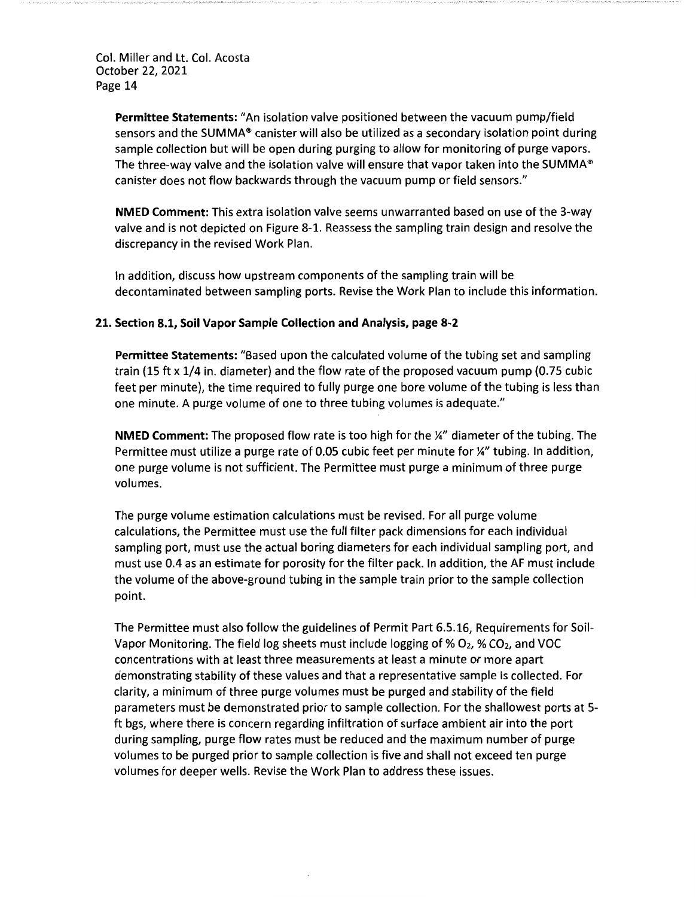> **Permittee Statements:** "An isolation valve positioned between the vacuum pump/field sensors and the SUMMA® canister will also be utilized as a secondary isolation point during sample collection but will be open during purging to allow for monitoring of purge vapors. The three-way valve and the isolation valve will ensure that vapor taken into the SUMMA® canister does not flow backwards through the vacuum pump or field sensors."

> **NMED Comment:** This extra isolation valve seems unwarranted based on use of the 3-way valve and is not depicted on Figure 8-1. Reassess the sampling train design and resolve the discrepancy in the revised Work Plan.

> In addition, discuss how upstream components of the sampling train will be decontaminated between sampling ports. Revise the Work Plan to include this information.

#### **21. Section 8.1, Soil Vapor Sample Collection and Analysis, page 8-2**

**Permittee Statements:** "Based upon the calculated volume of the tubing set and sampling train (15 ft x 1/4 in. diameter) and the flow rate of the proposed vacuum pump (0.75 cubic feet per minute), the time required to fully purge one bore volume of the tubing is less than one minute. A purge volume of one to three tubing volumes is adequate."

**NMED Comment:** The proposed flow rate is too high for the¼" diameter of the tubing. The Permittee must utilize a purge rate of 0.05 cubic feet per minute for ¼" tubing. In addition, one purge volume is not sufficient. The Permittee must purge a minimum of three purge volumes.

The purge volume estimation calculations must be revised. For all purge volume calculations, the Permittee must use the full filter pack dimensions for each individual sampling port, must use the actual boring diameters for each individual sampling port, and must use 0.4 as an estimate for porosity for the filter pack. In addition, the AF must include the volume of the above-ground tubing in the sample train prior to the sample collection point.

The Permittee must also follow the guidelines of Permit Part 6.5.16, Requirements for Soil-Vapor Monitoring. The field log sheets must include logging of  $% O_2$ ,  $% CO_2$ , and VOC concentrations with at least three measurements at least a minute or more apart demonstrating stability of these values and that a representative sample is collected. For clarity, a minimum of three purge volumes must be purged and stability of the field parameters must be demonstrated prior to sample collection. For the shallowest ports at 5 ft bgs, where there is concern regarding infiltration of surface ambient air into the port during sampling, purge flow rates must be reduced and the maximum number of purge volumes to be purged prior to sample collection is five and shall not exceed ten purge volumes for deeper wells. Revise the Work Plan to address these issues.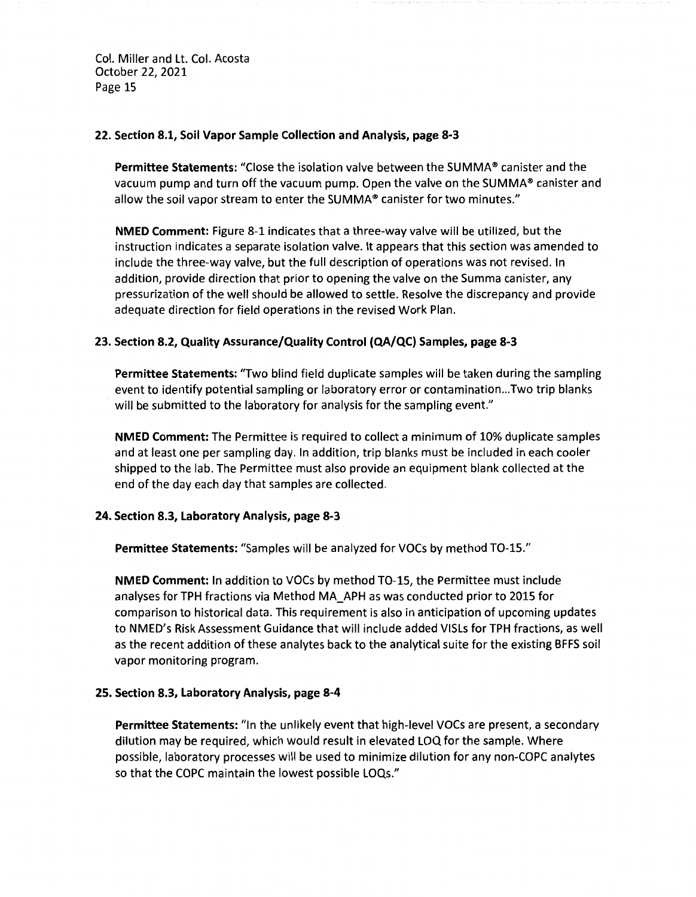### **22. Section 8.1, Soil Vapor Sample Collection and Analysis, page 8-3**

**Permittee Statements:** "Close the isolation valve between the SUMMA® canister and the vacuum pump and turn off the vacuum pump. Open the valve on the SUMMA® canister and allow the soil vapor stream to enter the SUMMA® canister for two minutes."

**NMED Comment:** Figure 8-1 indicates that a three-way valve will be utilized, but the instruction indicates a separate isolation valve. It appears that this section was amended to include the three-way valve, but the full description of operations was not revised. In addition, provide direction that prior to opening the valve on the Summa canister, any pressurization of the well should be allowed to settle. Resolve the discrepancy and provide adequate direction for field operations in the revised Work Plan.

### **23. Section 8.2, Quality Assurance/Quality Control (QA/QC} Samples, page 8-3**

**Permittee Statements:** "Two blind field duplicate samples will be taken during the sampling event to identify potential sampling or laboratory error or contamination ... Two trip blanks will be submitted to the laboratory for analysis for the sampling event."

**NMED Comment:** The Permittee is required to collect a minimum of 10% duplicate samples and at least one per sampling day. In addition, trip blanks must be included in each cooler shipped to the lab. The Permittee must also provide an equipment blank collected at the end of the day each day that samples are collected.

### **24. Section 8.3, Laboratory Analysis, page 8-3**

Permittee Statements: "Samples will be analyzed for VOCs by method TO-15."

**NMED Comment:** In addition to VOCs by method TO-15, the Permittee must include analyses for TPH fractions via Method MA\_APH as was conducted prior to 2015 for comparison to historical data. This requirement is also in anticipation of upcoming updates to NMED's Risk Assessment Guidance that will include added VISLs for TPH fractions, as well as the recent addition of these analytes back to the analytical suite for the existing BFFS soil vapor monitoring program.

### **25. Section 8.3, Laboratory Analysis, page 8-4**

**Permittee Statements:** "In the unlikely event that high-level VOCs are present, a secondary dilution may be required, which would result in elevated LOQ for the sample. Where possible, laboratory processes will be used to minimize dilution for any non-COPC analytes so that the COPC maintain the lowest possible LOQs."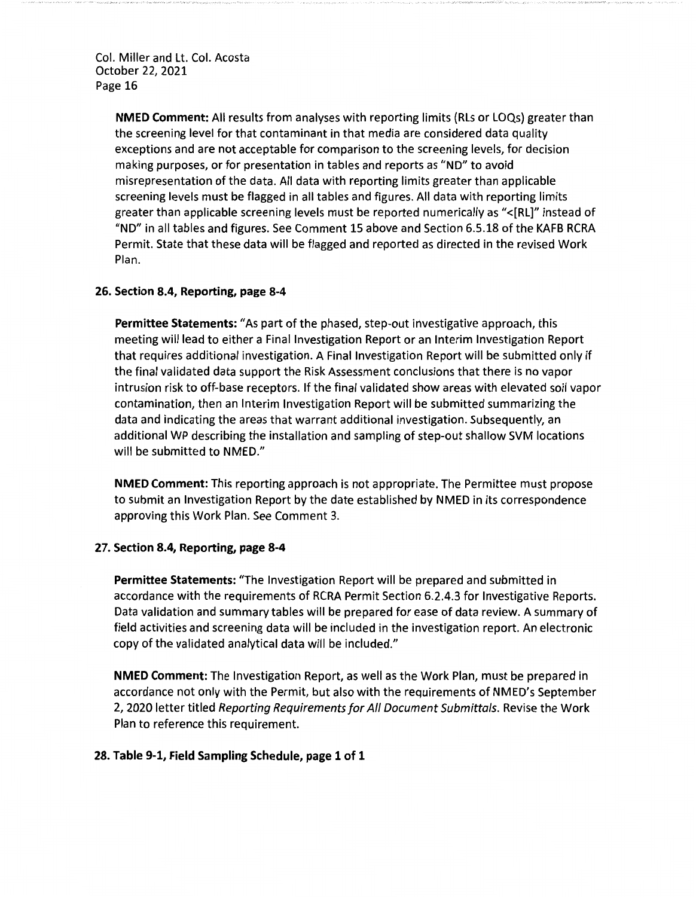> **NMED Comment:** All results from analyses with reporting limits (Rls or LOQs) greater than the screening level for that contaminant in that media are considered data quality exceptions and are not acceptable for comparison to the screening levels, for decision making purposes, or for presentation in tables and reports as "ND" to avoid misrepresentation of the data. All data with reporting limits greater than applicable screening levels must be flagged in all tables and figures. All data with reporting limits greater than applicable screening levels must be reported numerically as "<[RL]" instead of "ND" in all tables and figures. See Comment 15 above and Section 6.5.18 of the KAFB RCRA Permit. State that these data will be flagged and reported as directed in the revised Work Plan.

### **26. Section 8.4, Reporting, page 8-4**

**Permittee Statements:** "As part of the phased, step-out investigative approach, this meeting will lead to either a Final Investigation Report or an Interim Investigation Report that requires additional investigation. A Final Investigation Report will be submitted only if the final validated data support the Risk Assessment conclusions that there is no vapor intrusion risk to off-base receptors. If the final validated show areas with elevated soil vapor contamination, then an Interim Investigation Report will be submitted summarizing the data and indicating the areas that warrant additional investigation. Subsequently, an additional WP describing the installation and sampling of step-out shallow SVM locations will be submitted to NMED."

**NMED Comment:** This reporting approach is not appropriate. The Permittee must propose to submit an Investigation Report by the date established by NMED in its correspondence approving this Work Plan. See Comment 3.

#### **27. Section 8.4, Reporting, page 8-4**

**Permittee Statements:** "The Investigation Report will be prepared and submitted in accordance with the requirements of RCRA Permit Section 6.2.4.3 for Investigative Reports. Data validation and summary tables will be prepared for ease of data review. A summary of field activities and screening data will be included in the investigation report. An electronic copy of the validated analytical data will be included."

**NMED Comment:** The Investigation Report, as well as the Work Plan, must be prepared in accordance not only with the Permit, but also with the requirements of NMED's September 2, 2020 letter titled Reporting Requirements for All Document Submittals. Revise the Work Plan to reference this requirement.

#### **28. Table 9-1, Field Sampling Schedule, page 1 of 1**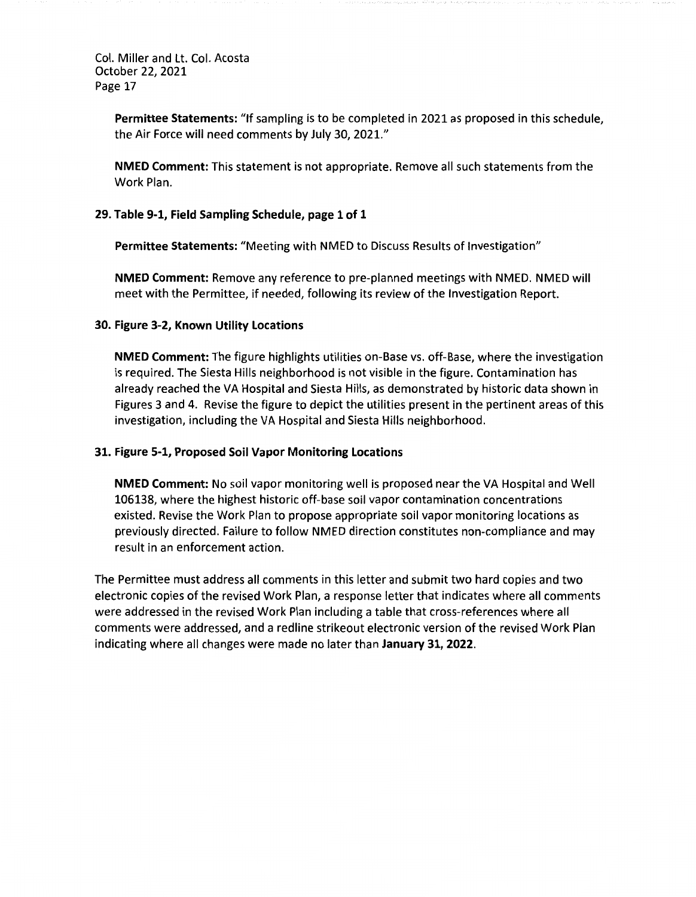> **Permittee Statements:** "If sampling is to be completed in 2021 as proposed in this schedule, the Air Force will need comments by July 30, 2021."

**NMED Comment:** This statement is not appropriate. Remove all such statements from the Work Plan.

### **29. Table 9-1, Field Sampling Schedule, page 1 of 1**

**Permittee Statements:** "Meeting with NMED to Discuss Results of Investigation"

**NMED Comment:** Remove any reference to pre-planned meetings with NMED. NMED will meet with the Permittee, if needed, following its review of the Investigation Report.

#### **30. Figure 3-2, Known Utility Locations**

**NMED Comment:** The figure highlights utilities on-Base vs. off-Base, where the investigation is required. The Siesta Hills neighborhood is not visible in the figure. Contamination has already reached the VA Hospital and Siesta Hills, as demonstrated by historic data shown in Figures 3 and 4. Revise the figure to depict the utilities present in the pertinent areas of this investigation, including the VA Hospital and Siesta Hills neighborhood.

#### **31. Figure 5-1, Proposed Soil Vapor Monitoring Locations**

**NMED Comment:** No soil vapor monitoring well is proposed near the VA Hospital and Well 106138, where the highest historic off-base soil vapor contamination concentrations existed. Revise the Work Plan to propose appropriate soil vapor monitoring locations as previously directed. Failure to follow NMED direction constitutes non-compliance and may result in an enforcement action.

The Permittee must address all comments in this letter and submit two hard copies and two electronic copies of the revised Work Plan, a response letter that indicates where all comments were addressed in the revised Work Plan including a table that cross-references where all comments were addressed, and a redline strikeout electronic version of the revised Work Plan indicating where all changes were made no later than **January 31, 2022.**